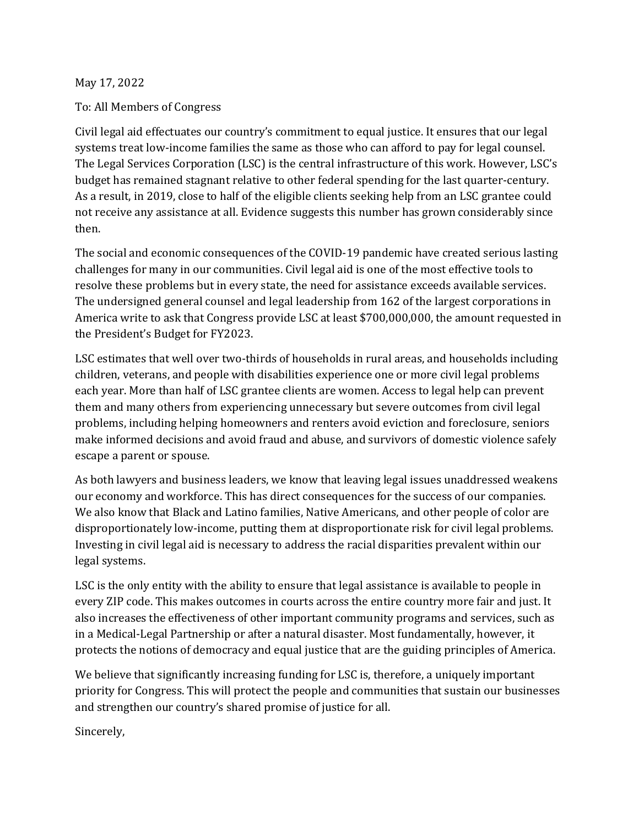## May 17, 2022

## To: All Members of Congress

Civil legal aid effectuates our country's commitment to equal justice. It ensures that our legal systems treat low-income families the same as those who can afford to pay for legal counsel. The Legal Services Corporation (LSC) is the central infrastructure of this work. However, LSC's budget has remained stagnant relative to other federal spending for the last quarter-century. As a result, in 2019, close to half of the eligible clients seeking help from an LSC grantee could not receive any assistance at all. Evidence suggests this number has grown considerably since then.

The social and economic consequences of the COVID-19 pandemic have created serious lasting challenges for many in our communities. Civil legal aid is one of the most effective tools to resolve these problems but in every state, the need for assistance exceeds available services. The undersigned general counsel and legal leadership from 162 of the largest corporations in America write to ask that Congress provide LSC at least \$700,000,000, the amount requested in the President's Budget for FY2023.

LSC estimates that well over two-thirds of households in rural areas, and households including children, veterans, and people with disabilities experience one or more civil legal problems each year. More than half of LSC grantee clients are women. Access to legal help can prevent them and many others from experiencing unnecessary but severe outcomes from civil legal problems, including helping homeowners and renters avoid eviction and foreclosure, seniors make informed decisions and avoid fraud and abuse, and survivors of domestic violence safely escape a parent or spouse.

As both lawyers and business leaders, we know that leaving legal issues unaddressed weakens our economy and workforce. This has direct consequences for the success of our companies. We also know that Black and Latino families, Native Americans, and other people of color are disproportionately low-income, putting them at disproportionate risk for civil legal problems. Investing in civil legal aid is necessary to address the racial disparities prevalent within our legal systems.

LSC is the only entity with the ability to ensure that legal assistance is available to people in every ZIP code. This makes outcomes in courts across the entire country more fair and just. It also increases the effectiveness of other important community programs and services, such as in a Medical-Legal Partnership or after a natural disaster. Most fundamentally, however, it protects the notions of democracy and equal justice that are the guiding principles of America.

We believe that significantly increasing funding for LSC is, therefore, a uniquely important priority for Congress. This will protect the people and communities that sustain our businesses and strengthen our country's shared promise of justice for all.

Sincerely,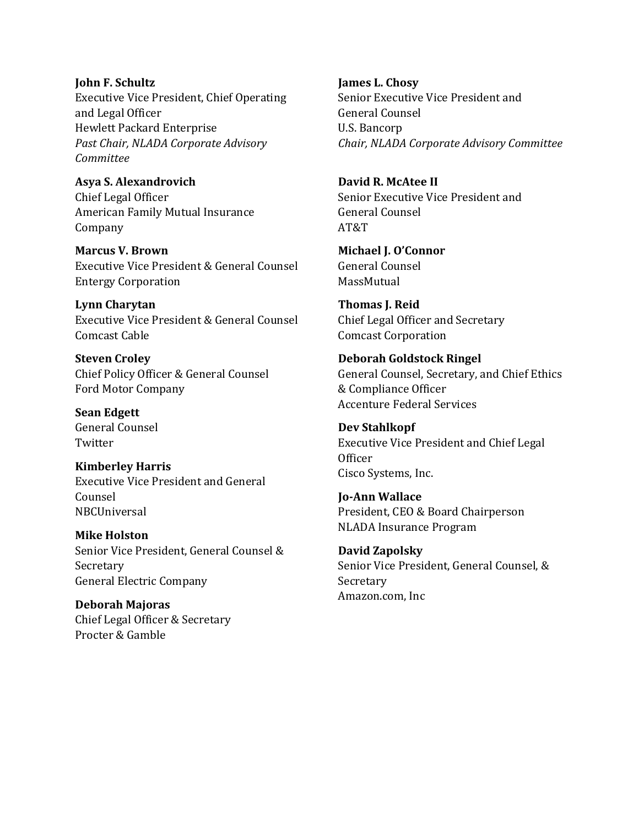## **John F. Schultz** Executive Vice President, Chief Operating and Legal Officer Hewlett Packard Enterprise *Past Chair, NLADA Corporate Advisory Committee*

**Asya S. Alexandrovich** Chief Legal Officer American Family Mutual Insurance Company

**Marcus V. Brown** Executive Vice President & General Counsel Entergy Corporation

**Lynn Charytan** Executive Vice President & General Counsel Comcast Cable

**Steven Croley** Chief Policy Officer & General Counsel Ford Motor Company

**Sean Edgett** General Counsel **Twitter** 

**Kimberley Harris** Executive Vice President and General Counsel **NBCUniversal** 

**Mike Holston** Senior Vice President, General Counsel & Secretary General Electric Company

**Deborah Majoras** Chief Legal Officer & Secretary Procter & Gamble

**James L. Chosy** Senior Executive Vice President and General Counsel U.S. Bancorp *Chair, NLADA Corporate Advisory Committee*

**David R. McAtee II** Senior Executive Vice President and General Counsel AT&T

**Michael J. O'Connor** General Counsel MassMutual

**Thomas J. Reid** Chief Legal Officer and Secretary Comcast Corporation

**Deborah Goldstock Ringel** General Counsel, Secretary, and Chief Ethics & Compliance Officer Accenture Federal Services

**Dev Stahlkopf** Executive Vice President and Chief Legal **Officer** Cisco Systems, Inc.

**Jo-Ann Wallace** President, CEO & Board Chairperson NLADA Insurance Program

**David Zapolsky** Senior Vice President, General Counsel, & Secretary Amazon.com, Inc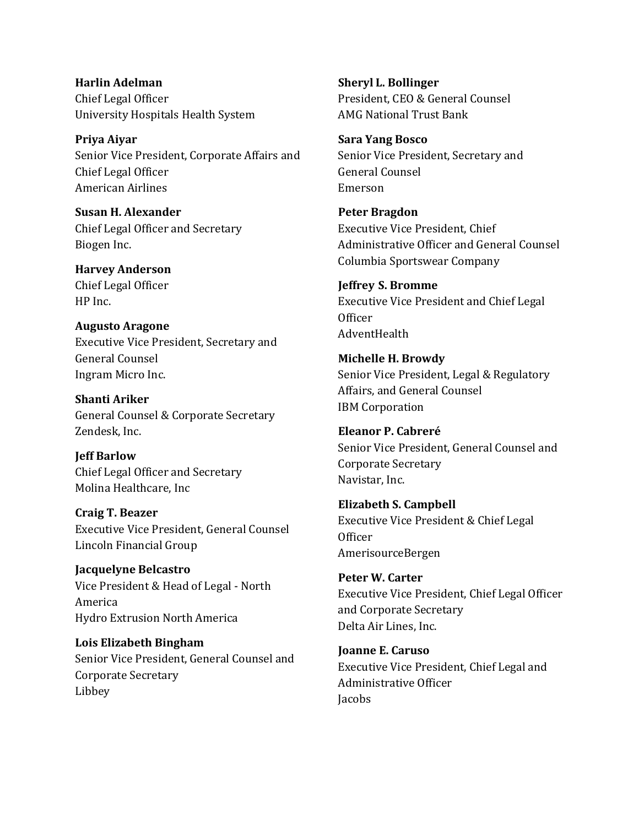**Harlin Adelman** Chief Legal Officer University Hospitals Health System

**Priya Aiyar** Senior Vice President, Corporate Affairs and Chief Legal Officer American Airlines

**Susan H. Alexander** Chief Legal Officer and Secretary Biogen Inc.

**Harvey Anderson** Chief Legal Officer HP Inc.

**Augusto Aragone** Executive Vice President, Secretary and General Counsel Ingram Micro Inc.

**Shanti Ariker** General Counsel & Corporate Secretary Zendesk, Inc.

**Jeff Barlow** Chief Legal Officer and Secretary Molina Healthcare, Inc

**Craig T. Beazer** Executive Vice President, General Counsel Lincoln Financial Group

**Jacquelyne Belcastro** Vice President & Head of Legal - North America Hydro Extrusion North America

**Lois Elizabeth Bingham** Senior Vice President, General Counsel and Corporate Secretary Libbey

**Sheryl L. Bollinger** President, CEO & General Counsel AMG National Trust Bank

**Sara Yang Bosco** Senior Vice President, Secretary and General Counsel Emerson

**Peter Bragdon** Executive Vice President, Chief Administrative Officer and General Counsel Columbia Sportswear Company

**Jeffrey S. Bromme** Executive Vice President and Chief Legal Officer AdventHealth

**Michelle H. Browdy** Senior Vice President, Legal & Regulatory Affairs, and General Counsel IBM Corporation

**Eleanor P. Cabreré** Senior Vice President, General Counsel and Corporate Secretary Navistar, Inc.

**Elizabeth S. Campbell** Executive Vice President & Chief Legal **Officer** AmerisourceBergen

**Peter W. Carter** Executive Vice President, Chief Legal Officer and Corporate Secretary Delta Air Lines, Inc.

**Joanne E. Caruso** Executive Vice President, Chief Legal and Administrative Officer **Jacobs**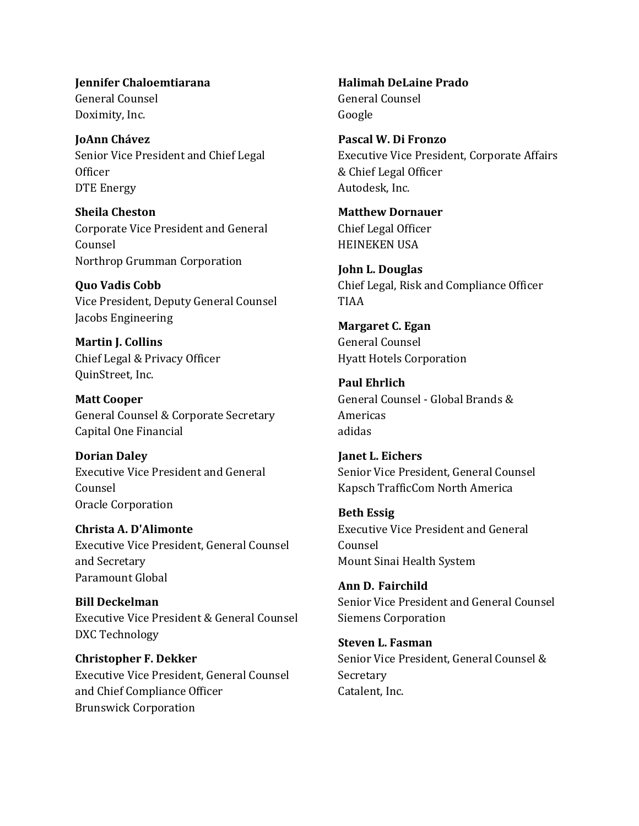**Jennifer Chaloemtiarana** General Counsel Doximity, Inc.

**JoAnn Chávez** Senior Vice President and Chief Legal **Officer** DTE Energy

**Sheila Cheston** Corporate Vice President and General Counsel Northrop Grumman Corporation

**Quo Vadis Cobb** Vice President, Deputy General Counsel Jacobs Engineering

**Martin J. Collins** Chief Legal & Privacy Officer QuinStreet, Inc.

**Matt Cooper** General Counsel & Corporate Secretary Capital One Financial

**Dorian Daley** Executive Vice President and General Counsel Oracle Corporation

**Christa A. D'Alimonte** Executive Vice President, General Counsel and Secretary Paramount Global

**Bill Deckelman** Executive Vice President & General Counsel DXC Technology

**Christopher F. Dekker** Executive Vice President, General Counsel and Chief Compliance Officer Brunswick Corporation

**Halimah DeLaine Prado**  General Counsel Google

**Pascal W. Di Fronzo** Executive Vice President, Corporate Affairs & Chief Legal Officer Autodesk, Inc.

**Matthew Dornauer** Chief Legal Officer HEINEKEN USA

**John L. Douglas** Chief Legal, Risk and Compliance Officer TIAA

**Margaret C. Egan** General Counsel Hyatt Hotels Corporation

**Paul Ehrlich** General Counsel - Global Brands & Americas adidas

**Janet L. Eichers** Senior Vice President, General Counsel Kapsch TrafficCom North America

**Beth Essig**  Executive Vice President and General Counsel Mount Sinai Health System

**Ann D. Fairchild** Senior Vice President and General Counsel Siemens Corporation

**Steven L. Fasman** Senior Vice President, General Counsel & Secretary Catalent, Inc.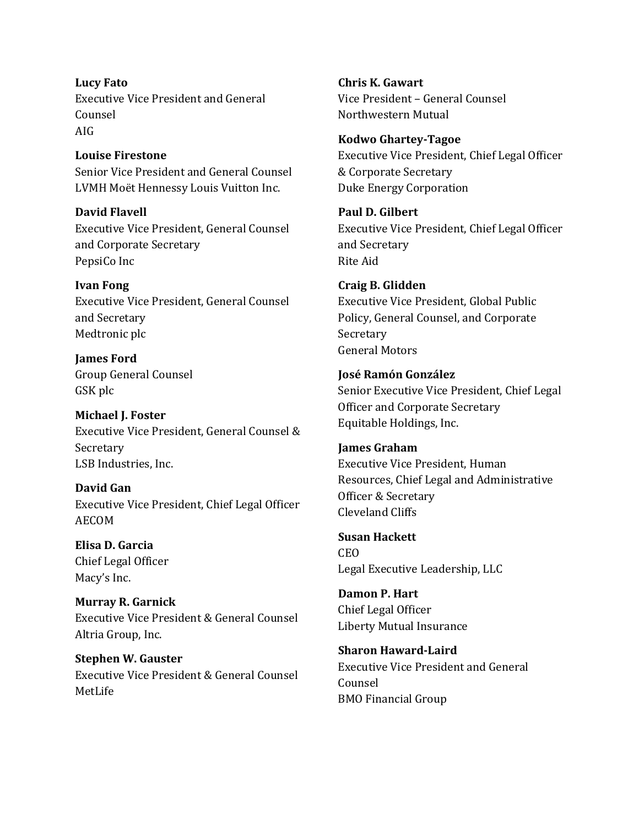**Lucy Fato** Executive Vice President and General Counsel AIG

**Louise Firestone** Senior Vice President and General Counsel LVMH Moët Hennessy Louis Vuitton Inc.

**David Flavell** Executive Vice President, General Counsel and Corporate Secretary PepsiCo Inc

**Ivan Fong** Executive Vice President, General Counsel and Secretary Medtronic plc

**James Ford** Group General Counsel GSK plc

**Michael J. Foster** Executive Vice President, General Counsel & Secretary LSB Industries, Inc.

**David Gan** Executive Vice President, Chief Legal Officer AECOM

**Elisa D. Garcia** Chief Legal Officer Macy's Inc.

**Murray R. Garnick** Executive Vice President & General Counsel Altria Group, Inc.

**Stephen W. Gauster** Executive Vice President & General Counsel MetLife

**Chris K. Gawart** Vice President – General Counsel Northwestern Mutual

**Kodwo Ghartey-Tagoe** Executive Vice President, Chief Legal Officer & Corporate Secretary Duke Energy Corporation

**Paul D. Gilbert** Executive Vice President, Chief Legal Officer and Secretary Rite Aid

**Craig B. Glidden** Executive Vice President, Global Public Policy, General Counsel, and Corporate Secretary General Motors

**José Ramón González** Senior Executive Vice President, Chief Legal Officer and Corporate Secretary Equitable Holdings, Inc.

**James Graham** Executive Vice President, Human Resources, Chief Legal and Administrative Officer & Secretary Cleveland Cliffs

**Susan Hackett** CEO Legal Executive Leadership, LLC

**Damon P. Hart** Chief Legal Officer Liberty Mutual Insurance

**Sharon Haward-Laird** Executive Vice President and General Counsel BMO Financial Group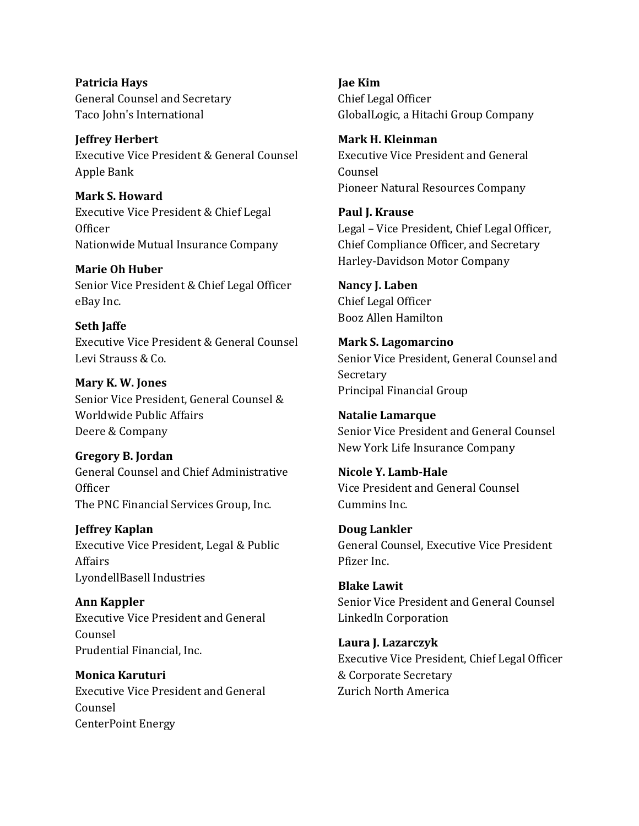**Patricia Hays** General Counsel and Secretary Taco John's International

**Jeffrey Herbert** Executive Vice President & General Counsel Apple Bank

**Mark S. Howard** Executive Vice President & Chief Legal **Officer** Nationwide Mutual Insurance Company

**Marie Oh Huber** Senior Vice President & Chief Legal Officer eBay Inc.

**Seth Jaffe** Executive Vice President & General Counsel Levi Strauss & Co.

**Mary K. W. Jones** Senior Vice President, General Counsel & Worldwide Public Affairs Deere & Company

**Gregory B. Jordan** General Counsel and Chief Administrative Officer The PNC Financial Services Group, Inc.

**Jeffrey Kaplan** Executive Vice President, Legal & Public Affairs LyondellBasell Industries

**Ann Kappler** Executive Vice President and General Counsel Prudential Financial, Inc.

**Monica Karuturi** Executive Vice President and General Counsel CenterPoint Energy

**Jae Kim** Chief Legal Officer GlobalLogic, a Hitachi Group Company

**Mark H. Kleinman** Executive Vice President and General Counsel Pioneer Natural Resources Company

**Paul J. Krause** Legal – Vice President, Chief Legal Officer, Chief Compliance Officer, and Secretary Harley-Davidson Motor Company

**Nancy J. Laben** Chief Legal Officer Booz Allen Hamilton

**Mark S. Lagomarcino** Senior Vice President, General Counsel and Secretary Principal Financial Group

**Natalie Lamarque** Senior Vice President and General Counsel New York Life Insurance Company

**Nicole Y. Lamb-Hale** Vice President and General Counsel Cummins Inc.

**Doug Lankler** General Counsel, Executive Vice President Pfizer Inc.

**Blake Lawit** Senior Vice President and General Counsel LinkedIn Corporation

**Laura J. Lazarczyk** Executive Vice President, Chief Legal Officer & Corporate Secretary Zurich North America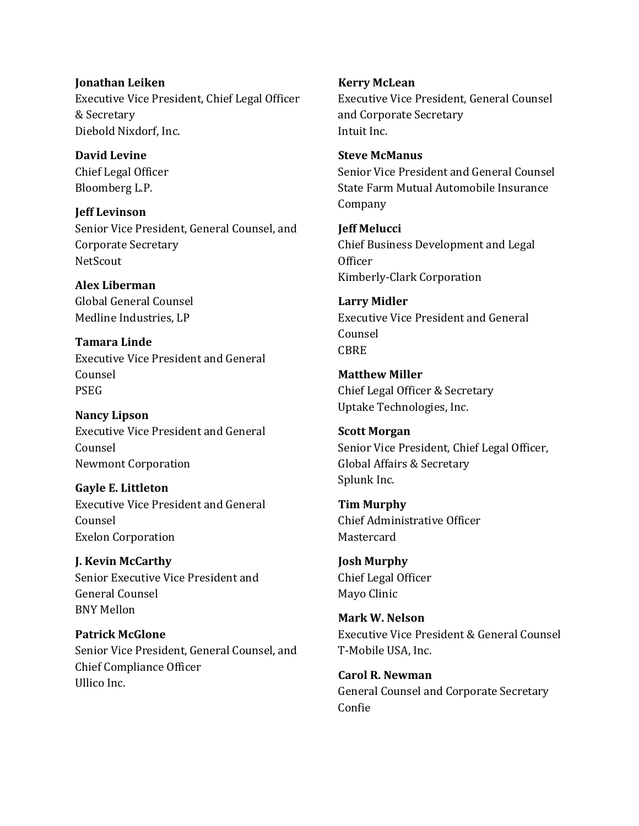**Jonathan Leiken** Executive Vice President, Chief Legal Officer & Secretary Diebold Nixdorf, Inc.

**David Levine**  Chief Legal Officer Bloomberg L.P.

**Jeff Levinson** Senior Vice President, General Counsel, and Corporate Secretary **NetScout** 

**Alex Liberman** Global General Counsel Medline Industries, LP

**Tamara Linde** Executive Vice President and General Counsel PSEG

**Nancy Lipson** Executive Vice President and General Counsel Newmont Corporation

**Gayle E. Littleton** Executive Vice President and General Counsel Exelon Corporation

**J. Kevin McCarthy** Senior Executive Vice President and General Counsel BNY Mellon

**Patrick McGlone** Senior Vice President, General Counsel, and Chief Compliance Officer Ullico Inc.

**Kerry McLean** Executive Vice President, General Counsel and Corporate Secretary Intuit Inc.

**Steve McManus**  Senior Vice President and General Counsel State Farm Mutual Automobile Insurance Company

**Jeff Melucci** Chief Business Development and Legal Officer Kimberly-Clark Corporation

**Larry Midler** Executive Vice President and General Counsel CBRE

**Matthew Miller** Chief Legal Officer & Secretary Uptake Technologies, Inc.

**Scott Morgan** Senior Vice President, Chief Legal Officer, Global Affairs & Secretary Splunk Inc.

**Tim Murphy** Chief Administrative Officer **Mastercard** 

**Josh Murphy** Chief Legal Officer Mayo Clinic

**Mark W. Nelson** Executive Vice President & General Counsel T-Mobile USA, Inc.

**Carol R. Newman** General Counsel and Corporate Secretary Confie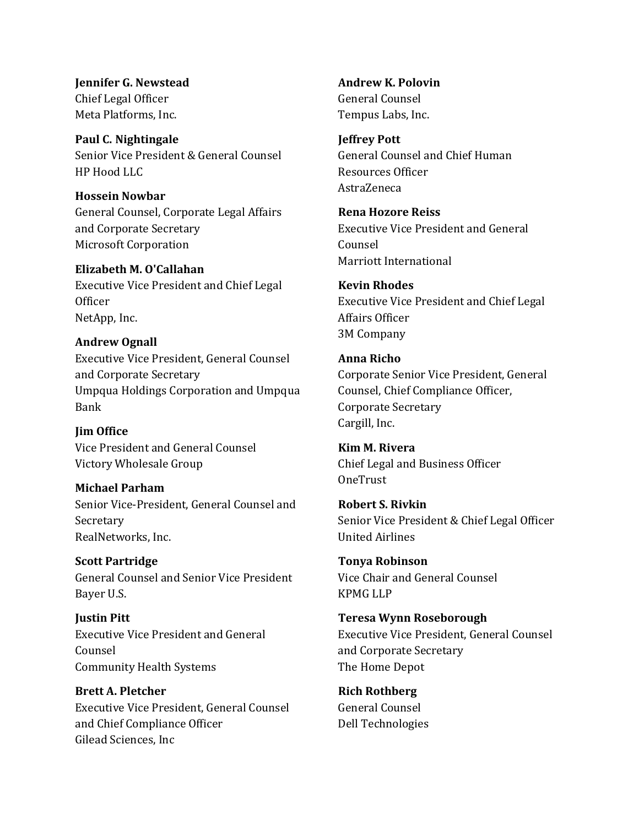**Jennifer G. Newstead** Chief Legal Officer Meta Platforms, Inc.

**Paul C. Nightingale** Senior Vice President & General Counsel HP Hood LLC

**Hossein Nowbar** General Counsel, Corporate Legal Affairs and Corporate Secretary Microsoft Corporation

**Elizabeth M. O'Callahan** Executive Vice President and Chief Legal **Officer** NetApp, Inc.

## **Andrew Ognall** Executive Vice President, General Counsel and Corporate Secretary Umpqua Holdings Corporation and Umpqua Bank

**Jim Office** Vice President and General Counsel Victory Wholesale Group

**Michael Parham**  Senior Vice-President, General Counsel and Secretary RealNetworks, Inc.

**Scott Partridge** General Counsel and Senior Vice President Bayer U.S.

**Justin Pitt**  Executive Vice President and General Counsel Community Health Systems

**Brett A. Pletcher** Executive Vice President, General Counsel and Chief Compliance Officer Gilead Sciences, Inc

**Andrew K. Polovin** General Counsel Tempus Labs, Inc.

**Jeffrey Pott** General Counsel and Chief Human Resources Officer AstraZeneca

**Rena Hozore Reiss** Executive Vice President and General Counsel Marriott International

**Kevin Rhodes** Executive Vice President and Chief Legal Affairs Officer 3M Company

**Anna Richo** Corporate Senior Vice President, General Counsel, Chief Compliance Officer, Corporate Secretary Cargill, Inc.

**Kim M. Rivera**  Chief Legal and Business Officer **OneTrust** 

**Robert S. Rivkin** Senior Vice President & Chief Legal Officer United Airlines

**Tonya Robinson** Vice Chair and General Counsel KPMG LLP

**Teresa Wynn Roseborough** Executive Vice President, General Counsel and Corporate Secretary The Home Depot

**Rich Rothberg** General Counsel Dell Technologies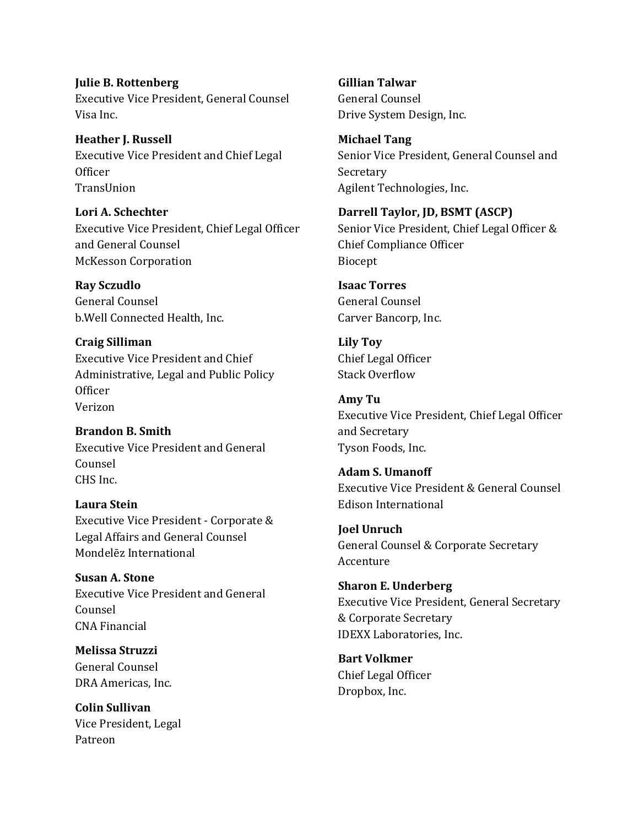**Julie B. Rottenberg** Executive Vice President, General Counsel Visa Inc.

**Heather J. Russell** Executive Vice President and Chief Legal **Officer TransIlnion** 

**Lori A. Schechter** Executive Vice President, Chief Legal Officer and General Counsel McKesson Corporation

**Ray Sczudlo** General Counsel b.Well Connected Health, Inc.

**Craig Silliman** Executive Vice President and Chief Administrative, Legal and Public Policy **Officer** Verizon

**Brandon B. Smith** Executive Vice President and General Counsel CHS Inc.

**Laura Stein** Executive Vice President - Corporate & Legal Affairs and General Counsel Mondelēz International

**Susan A. Stone** Executive Vice President and General Counsel CNA Financial

**Melissa Struzzi** General Counsel DRA Americas, Inc.

**Colin Sullivan** Vice President, Legal Patreon

**Gillian Talwar** General Counsel Drive System Design, Inc.

**Michael Tang** Senior Vice President, General Counsel and Secretary Agilent Technologies, Inc.

**Darrell Taylor, JD, BSMT (ASCP)** Senior Vice President, Chief Legal Officer & Chief Compliance Officer Biocept

**Isaac Torres** General Counsel Carver Bancorp, Inc.

**Lily Toy** Chief Legal Officer Stack Overflow

**Amy Tu** Executive Vice President, Chief Legal Officer and Secretary Tyson Foods, Inc.

**Adam S. Umanoff** Executive Vice President & General Counsel Edison International

**Joel Unruch** General Counsel & Corporate Secretary Accenture

**Sharon E. Underberg** Executive Vice President, General Secretary & Corporate Secretary IDEXX Laboratories, Inc.

**Bart Volkmer** Chief Legal Officer Dropbox, Inc.